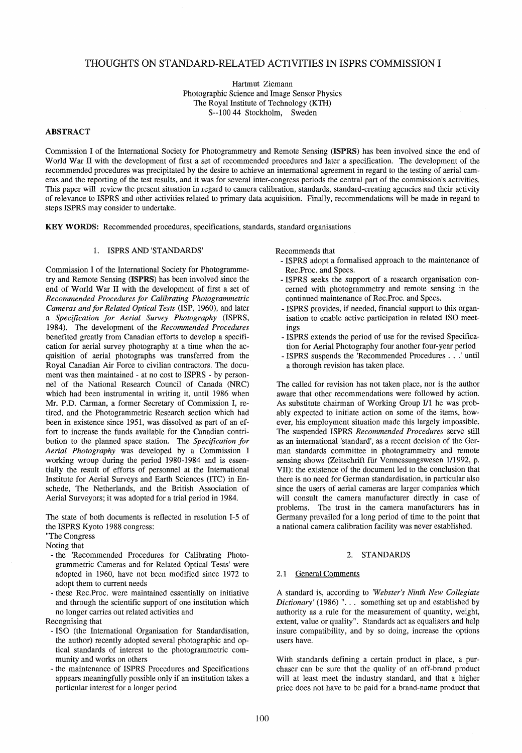# THOUGHTS ON STANDARD-RELATED ACTIVITIES IN ISPRS COMMISSION I

Hartmut Ziemann Photographic Science and Image Sensor Physics The Royal Institute of Technology (KTH) S--100 44 Stockholm, Sweden

## ABSTRACT

Commission I of the International Society for Photogrammetry and Remote Sensing (ISPRS) has been involved since the end of World War II with the development of first a set of recommended procedures and later a specification. The development of the recommended procedures was precipitated by the desire to achieve an international agreement in regard to the testing of aerial cameras and the reporting of the test results, and it was for several inter-congress periods the central part of the commission's activities. This paper will review the present situation in regard to camera calibration, standards, standard-creating agencies and their activity of relevance to ISPRS and other activities related to primary data acquisition. Finally, recommendations will be made in regard to steps ISPRS may consider to undertake.

KEY WORDS: Recommended procedures, specifications, standards, standard organisations

### 1. ISPRS AND 'STANDARDS'

Commission I of the International Society for Photogrammetry and Remote Sensing (ISPRS) has been involved since the end of World War II with the development of first a set of *Recommended Procedures for Calibrating Photogrammetric Cameras andfor Related Optical Tests* (ISP, 1960), and later a *Specijication for Aerial Survey Photography* (ISPRS, 1984). The development of the *Recommended Procedures*  benefited greatly from Canadian efforts to develop a specification for aerial survey photography at a time when the acquisition of aerial photographs was transferred from the Royal Canadian Air Force to civilian contractors. The document was then maintained - at no cost to ISPRS - by personnel of the National Research Council of Canada (NRC) which had been instrumental in writing it, until 1986 when Mr. P.D. Carrnan, a former Secretary of Commission I, retired, and the Photograrnmetric Research section which had been in existence since 1951, was dissolved as part of an effort to increase the funds available for the Canadian contribution to the planned space station. The *Specijication for Aerial Photography* was developed by a Commission I working wroup during the period 1980-1984 and is essentially the result of efforts of personnel at the International Institute for Aerial Surveys and Earth Sciences (ITC) in Enschede, The Netherlands, and the British Association of Aerial Surveyors; it was adopted for a trial period in 1984.

The state of both documents is reflected in resolution 1-5 of the ISPRS Kyoto 1988 congress:

"The Congress

Noting that

- the 'Recommended Procedures for Calibrating Photogrammetric Carneras and for Related Optical Tests' were adopted in 1960, have not been modified since 1972 to adopt them to current needs
- these Rec.Proc. were maintained essentially on initiative and through the scientific support of one institution which no longer carries out related activities and

Recognising that

- ISO (the International Organisation for Standardisation, the author) recently adopted several photographic and optical standards of interest to the photogrammetric community and works on others
- the maintenance of ISPRS Procedures and Specifications appears meaningfully possible only if an institution takes a particular interest for a longer period

Recommends that

- ISPRS adopt a formalised approach to the maintenance of Rec.Proc. and Specs.
- ISPRS seeks the support of a research organisation concerned with photogrammetry and remote sensing in the continued maintenance of Rec.Proc. and Specs.
- ISPRS provides, if needed, financial support to this organisation to enable active participation in related ISO meetings
- ISPRS extends the period of use for the revised Specification for Aerial Photography four another four-year period
- ISPRS suspends the 'Recommended Procedures ... I until a thorough revision has taken place.

The called for revision has not taken place, nor is the author aware that other recommendations were followed by action. As substitute chairman of Working Group I/l he was probably expected to initiate action on some of the items, however, his employment situation made this largely impossible. The suspended ISPRS *Recommended Procedures* serve still as an international 'standard', as arecent decision of the German standards committee in photogrammetry and remote sensing shows (Zeitschrift für Verrnessungswesen 111992, p. VII): the existence of the document led to the conclusion that there is no need for German standardisation, in particular also since the users of aerial cameras are larger companies which will consult the carnera manufacturer directly in case of problems. The trust in the camera manufacturers has in Germany prevailed for a long period of time to the point that anational camera calibration facility was never established.

### 2. STANDARDS

#### 2.1 General Comments

A standard is, according to *'Webster's Ninth New Collegiate Dictionary'* (1986) ". . . something set up and established by authority as a role for the measurement of quantity, weight, extent, value or quality". Standards act as equalisers and help insure compatibility, and by so doing, increase the options users have.

With standards defining a certain product in place, a purchaser can be sure that the quality of an off-brand product will at least meet the industry standard, and that a higher price does not have to be paid for a brand-name product that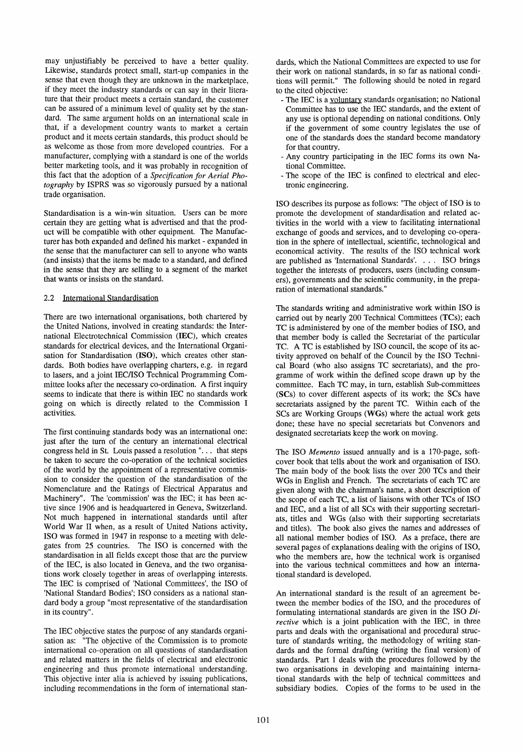may unjustifiably be perceived to have a better quality. Likewise, standards protect smalI, start-up companies in the sense that even though they are unknown in the marketplace, if they meet the industry standards or can say in their literature that their product meets a certain standard, the customer can be assured of a minimum level of quality set by the standard. The same argument holds on an international scale in that, if a development country wants to market a certain product and it meets certain standards, this product should be as welcome as those from more developed countries. For a manufacturer, complying with a standard is one of the worlds better marketing tools, and it was probably in recognition of this fact that the adoption of a *Specijication jor Aerial Pho*tography by ISPRS was so vigorously pursued by a national trade organisation.

Standardisation is a win-win situation. Users can be more certain they are getting what is advertised and that the product will be compatible with other equipment. The Manufacturer has both expanded and defined his market - expanded in the sense that the manufacturer can seIl to anyone who wants (and insists) that the items be made to a standard, and defined in the sense that they are selling to a segment of the market that wants or insists on the standard.

## 2.2 International Standardisation

There are two international organisations, both chartered by the United Nations, involved in creating standards: the International Electrotechnical Commission (IEC), which creates standards for electrical devices, and the International Organisation for Standardisation (ISO), which creates other standards. Both bodies have overlapping charters, e.g. in regard to lasers, and a joint IECIISO Technical Programming Committee looks after the necessary co-ordination. A first inquiry seems to indicate that there is within IEC no standards work going on which is directly related to the Commission I activities.

The first continuing standards body was an international one: just after the turn of the century an international electrical congress held in St. Louis passed aresolution ". .. that steps be taken to secure the co-operation of the technical societies of the world by the appointment of a representative commission to consider the question of the standardisation of the Nomenclature and the Ratings of Electrical Apparatus and Machinery". The 'commission' was the IEC; it has been active since 1906 and is headquartered in Geneva, Switzerland. Not much happened in international standards until after World War II when, as a result of United Nations activity, ISO was formed in 1947 in response to a meeting with delegates from 25 countries. The ISO is concerned with the standardisation in all fields except those that are the purview of the IEC, is also located in Geneva, and the two organisations work closely together in areas of overlapping interests. The IEC is comprised of 'National Committees', the ISO of 'National Standard Bodies'; ISO considers as a national standard body a group "most representative of the standardisation in its country".

The IEC objective states the purpose of any standards organisation as: "The objective of the Commission is to promote international co-operation on all questions of standardisation and related matters in the fields of electrical and electronic engineering and thus promote international understanding. This objective inter alia is achieved by issuing publications, including recommendations in the form of international standards, which the National Committees are expected to use for their work on national standards, in so far as national conditions will permit." The following should be noted in regard to the cited objective:

- The IEC is a voluntary standards organisation; no National Committee has to use the IEC standards, and the extent of any use is optional depending on national conditions. Only if the government of some country legislates the use of one of the standards does the standard become mandatory for that country.
- Any country participating in the IEC forms its own National Committee.
- The scope of the IEC is confined to electrical and electronic engineering.

ISO describes its purpose as follows: "The object of ISO is to promote the development of standardisation and related activities in the world with a view to facilitating international exchange of goods and services, and to developing co-operation in the sphere of intellectual, scientific, technological and economical activity. The results of the ISO technical work are published as 'International Standards'. ... ISO brings together the interests of producers, users (including consumers), governments and the scientific community, in the preparation of international standards."

The standards writing and administrative work within ISO is carried out by nearly 200 Technical Committees (TCs); each TC is administered by one of the member bodies of ISO, and that member body is called the Secretariat of the particular TC. A TC is established by ISO council, the scope of its activity approved on behalf of the Council by the ISO Technical Board (who also assigns TC secretariats), and the programme of work within the defined scope drawn up by the committee. Each TC may, in turn, establish Sub-committees (SCs) to cover different aspects of its work; the SCs have secretariats assigned by the parent TC. Within each of the SCs are Working Groups (WGs) where the actual work gets done; these have no special secretariats but Convenors and designated secretariats keep the work on moving.

The ISO *Memento* issued annually and is a 170-page, softcover book that teIls about the work and organisation of ISO. The main body of the book lists the over 200 TCs and their WGs in English and French. The secretariats of each TC are given along with the chairman's name, a short description of the scope of each TC, a list of liaisons with other TCs of ISO and IEC, and a list of all SCs with their supporting secretariats, titles and WOs (also with their supporting secretariats and titles). The book also gives the names and addresses of all national member bodies of ISO. As a preface, there are several pages of explanations dealing with the origins of ISO, who the members are, how the technical work is organised into the various technical committees and how an international standard is developed.

An international standard is the result of an agreement between the member bodies of the ISO, and the procedures of formulating international standards are given in the ISO *Directive* which is a joint publication with the IEC, in three parts and deals with the organisational and procedural structure of standards writing; the methodology of writing standards and the formal drafting (writing the final version) of standards. Part 1 deals with the procedures followed by the two organisations in developing and maintaining international standards with the help of technical committees and subsidiary bodies. Copies of the forms to be used in the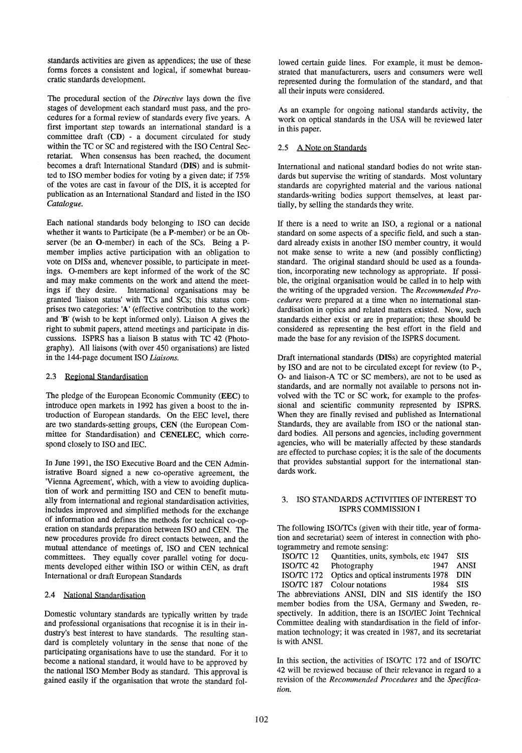standards activities are given as appendices; the use of these forms forces a consistent and logical, if somewhat bureaucratic standards development.

The procedural section of the *Directive* lays down the five stages of development each standard must pass, and the procedures for a formal review of standards every five years. A first important step towards an international standard is a committee draft (CD) - a document circulated for study within the TC or SC and registered with the ISO Central Secretariat. When consensus has been reached, the document becomes a draft International Standard (DIS) and is submitted to ISO member bodies for voting by a given date; if 75% of the votes are cast in favour of the DIS, it is accepted for publication as an International Standard and listed in the ISO *Catalogue.* 

Each national standards body belonging to ISO can decide whether it wants to Participate (be a P-member) or be an Observer (be an O-member) in each of the SCs. Being a Pmember implies active participation with an obligation to vote on DISs and, whenever possible, to participate in meetings. O-members are kept informed of the work of the SC and may make comments on the work and attend the meetings if they desire. International organisations may be granted 'liaison status' with TCs and SCs; this status comprises two categories: 'A' (effective contribution to the work) and 'B' (wish to be kept informed only). Liaison A gives the right to submit papers, attend meetings and participate in discussions. ISPRS has a liaison B status with TC 42 (Photography). All liaisons (with over 450 organisations) are listed in the 144-page document ISO *Liaisons.* 

## 2.3 Regional Standardisation

The pledge of the European Economic Community (EEC) to introduce open markets in 1992 has given a boost to the introduction of European standards. On the EEC level, there are two standards-setting groups, CEN (the European Committee for Standardisation) and CENELEC, which correspond closely to ISO and IEC.

In June 1991, the ISO Executive Board and the CEN Administrative Board signed a new co-operative agreement, the 'Vienna Agreement', which, with a view to avoiding duplication of work and permitting ISO and CEN to benefit mutually from international and regional standardisation activities, includes improved and simplified methods for the exchange of information and defines the methods for technical co-operation on standards preparation between ISO and CEN. The new procedures provide fra direct contacts between, and the mutual attendance of meetings of, ISO and CEN technical committees. They equally cover parallel voting for documents developed either within ISO or within CEN, as draft International or draft European Standards

# 2.4 National Standardisation

Domestic voluntary standards are typically written by trade and professional organisations that recognise it is in their industry's best interest to have standards. The resulting standard is completely voluntary in the sense that none of the participating organisations have to use the standard. For it to become a national standard, it would have to be approved by the national ISO Member Body as standard. This approval is gained easily if the organisation that wrote the standard followed certain guide lines. For example, it must be demonstrated that manufacturers, users and consumers were well represented during the formulation of the standard, and that all their inputs were considered.

As an example for ongoing national standards activity, the work on optical standards in the USA will be reviewed later in this paper.

# 2.5 A Note on Standards

International and national standard bodies do not write standards but supervise the writing of standards. Most voluntary standards are copyrighted material and the various national standards-writing bodies support themselves, at least partially, by selling the standards they write.

If there is a need to write an ISO, a regional or a national standard on some aspects of a specific field, and such a standard already exists in another ISO member country, it would not make sense to write a new (and possibly conflicting) standard. The original standard should be used as a foundation, incorporating new technology as appropriate. If possible, the original organisation would be called in to help with the writing of the upgraded version. The *Recommended Procedures* were prepared at a time when no international standardisation in optics and related matters existed. Now, such standards either exist or are in preparation; these should be considered as representing the best effort in the field and made the base for any revision of the ISPRS document.

Draft international standards (DISs) are copyrighted material by ISO and are not to be circulated except for review (to P-, 0- and liaison-A TC or SC members), are not to be used as standards, and are normally not available to persons not involved with the TC or SC work, for example to the professional and scientific community represented by ISPRS. When they are finally revised and published as International Standards, they are available from ISO or the national standard bodies. All persons and agencies, including government agencies, who will be materially affected by these standards are effected to purchase copies; it is the sale of the documents that provides substantial support for the international standards work.

### 3. ISO STANDARDS ACTIVITIES OF INTEREST TO ISPRS COMMISSION I

The following ISO/TCs (given with their title, year of formation and secretariat) seem of interest in connection with photogrammetry and remote sensing:

| ISO/TC 12                                                      | Quantities, units, symbols, etc 1947                         |      | <b>SIS</b>  |
|----------------------------------------------------------------|--------------------------------------------------------------|------|-------------|
| ISO/TC 42                                                      | Photography                                                  | 1947 | <b>ANSI</b> |
| <b>ISO/TC 172</b>                                              | Optics and optical instruments 1978                          |      | <b>DIN</b>  |
|                                                                | ISO/TC 187 Colour notations                                  | 1984 | -SIS        |
|                                                                | The abbreviations ANSI, DIN and SIS identify the ISO         |      |             |
| member bodies from the USA, Germany and Sweden, re-            |                                                              |      |             |
|                                                                | spectively. In addition, there is an ISO/IEC Joint Technical |      |             |
| Committee dealing with standardisation in the field of infor-  |                                                              |      |             |
| mation technology; it was created in 1987, and its secretariat |                                                              |      |             |
| is with ANSI.                                                  |                                                              |      |             |

In this section, the activities of ISOrrC 172 and of ISOrrC 42 will be reviewed because of their relevance in regard to a revision of the *Recommended Procedures* and the *Specijication.*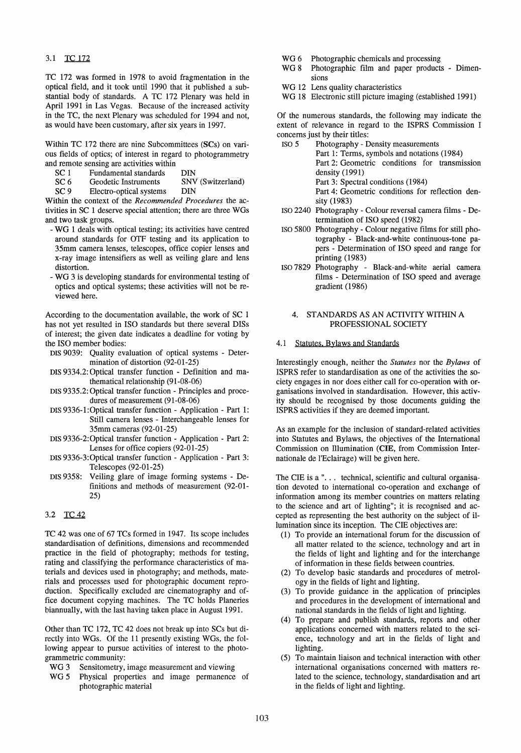### 3.1 TC 172

TC 172 was formed in 1978 to avoid fragmentation in the optical Held, and it took until 1990 that it published a substantial body of standards. A TC 172 Plenary was held in April 1991 in Las Vegas. Because of the increased activity in the TC, the next Plenary was scheduled for 1994 and not, as would have been customary, after six years in 1997.

Within TC 172 there are nine Subcommittees (SCs) on various fields of optics; of interest in regard to photogrammetry and remote sensing are activities within

- 
- SC 1 Fundamental standards DIN<br>SC 6 Geodetic Instruments SNV (Switzerland) SC 6 Geodetic Instruments SNV<br>SC 9 Electro-optical systems DIN
- Electro-optical systems

Within the context of the *Recommended Procedures* the activities in SC I deserve special attention; there are three WGs and two task groups.

- WG 1 deals with optieal testing; its activities have centred around standards for OTF testing and its application to 35mm camera lenses, telescopes, office copier lenses and x-ray image intensifiers as well as veiling glare and lens distortion.
- WG 3 is developing standards for environmental testing of optics and optical systems; these activities will not be reviewed here.

According to the documentation available, the work of SC 1 has not yet resulted in ISO standards but there several DISs of interest; the given date indicates a deadline for voting by the ISO member bodies:

- DIS 9039: Quality evaluation of optieal systems Determination of distortion (92-01-25)
- DIS 9334.2: Optical transfer function Definition and mathematieal relationship (91-08-06)
- DIS 9335.2: Optical transfer function Principles and procedures of measurement (91-08-06)
- DIS 9336-1:0ptical transfer function Application Part 1: Still camera lenses - Interchangeable lenses for 35mm cameras (92-01-25)
- DIS 9336-2:0ptieal transfer function Application Part 2: Lenses for office copiers (92-01-25)
- DIS 9336-3:0ptieal transfer function Application Part 3: Telescopes (92-01-25)
- DIS 9358: Veiling glare of image forming systems Definitions and methods of measurement (92-01- 25)

# 3.2 TC 42

TC 42 was one of 67 TCs formed in 1947. Hs scope includes standardisation of definitions, dimensions and recommended practice in the field of photography; methods for testing, rating and classifying the performance characteristics of materials and devices used in photography; and methods, materials and processes used for photographie document reproduction. Specifically excluded are cinematography and office document copying machines. The TC holds Planeries biannually, with the last having taken place in August 1991.

Other than TC 172, TC 42 does not break up into SCs but directly into WGs. Of the 11 presently existing WGs, the following appear to pursue activities of interest to the photogrammetric community:

- WG 3 Sensitometry, image measurement and viewing
- WG 5 Physical properties and image permanence of photographic material
- WG<sub>6</sub> Photographic chemicals and processing
- WG<sub>8</sub> Photographic film and paper products - Dimensions
- WG 12 Lens quality characteristics
- WG 18 Electronic still picture imaging (established 1991)

Of the numerous standards, the following may indicate the extent of relevance in regard to the ISPRS Commission I concerns just by their titles:

- ISO 5 Photography Density measurements Part 1: Terms, symbols and notations (1984) Part 2: Geometrie conditions for transmission density (1991) Part 3: Spectral conditions (1984) Part 4: Geometrie conditions for reflection density (1983)
- ISO 2240 Photography Colour reversal camera films Determination of ISO speed (1982)
- ISO 5800 Photography Colour negative films for still photography - Black-and-white continuous-tone papers - Determination of ISO speed and range for printing (1983)
- ISO 7829 Photography Black-and-white aerial camera films - Determination of ISO speed and average gradient (1986)

### 4. STANDARDS AS AN ACTIVITY WITHIN A PROFESSIONAL SOCIETY

#### 4.1 Statutes, Bylaws and Standards

Interestingly enough, neither the *Statutes* nor the *Bylaws* of ISPRS refer to standardisation as one of the activities the society engages in nor does either call for co-operation with organisations involved in standardisation. However, this activity should be recognised by those documents guiding the ISPRS activities if they are deemed important.

As an example for the inclusion of standard-related activities into Statutes and Bylaws, the objectives of the International Commission on lllumination (CIE, from Commission Internationale de l'Eclairage) will be given here.

The CIE is a " $\dots$  technical, scientific and cultural organisation devoted to international co-operation and exchange of information among its member countries on matters relating to the science and art of lighting"; it is recognised and accepted as representing the best authority on the subject of illumination since its inception. The CIE objectives are:

- (1) To provide an international forum for the discussion of all matter related to the science, technology and art in the fields of light and lighting and for the interchange of information in these fields between countries.
- (2) To develop basic standards and procedures of metrology in the fields of light and lighting.
- (3) To provide guidance in the application of principles and procedures in the development of international and national standards in the fields of light and lighting.
- (4) To prepare and publish standards, reports and other applications concerned with matters related to the science, technology and art in the fields of light and lighting.
- (5) To maintain liaison and technieal interaction with other international organisations concerned with matters related to the science, technology, standardisation and art in the fields of light and lighting.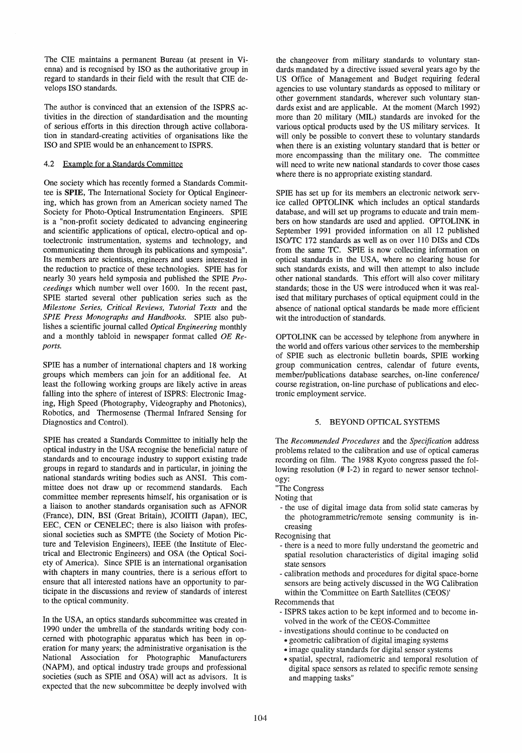The CIE maintains a permanent Bureau (at present in Vienna) and is recognised by ISO as the authoritative group in regard to standards in their field with the result that CIE develops ISO standards.

The author is convinced that an extension of the ISPRS activities in the direction of standardisation and the mounting of serious efforts in this direction through active collaboration in standard-creating activities of organisations like the ISO and SPIE would be an enhancement to ISPRS.

#### 4.2 Example for a Standards Committee

One society which has recently formed a Standards Committee is SPIE, The International Society for Optical Engineering, which has grown from an American society named The Society for Photo-Optical Instrumentation Engineers. SPIE is a "non-profit society dedicated to advancing engineering and scientific applications of optical, electro-optical and optoelectronic instrumentation, systems and technology, and communicating them through its publications and symposia". Its members are scientists, engineers and users interested in the reduction to practice of these technologies. SPIE has for nearly 30 years held symposia and published the SPIE *Proceedings* which number well over 1600. In the recent past, SPIE started several other publication series such as the *Milestone Series, Critical Reviews, Tutorial Texts* and the *SPIE Press Monographs and Handbooks.* SPIE also publishes a scientific journal called *Optical Engineering* monthly and a monthly tabloid in newspaper format called *OE Reports.* 

SPIE has a number of international chapters and 18 working groups which members can join for an additional fee. At least the following working groups are likely active in areas falling into the sphere of interest of ISPRS: Electronic Imaging, High Speed (Photography, Videography and Photonics), Robotics, and Thermosense (Thermal Infrared Sensing for Diagnostics and Control).

SPIE has created a Standards Committee to initially help the optical industry in the USA recognise the beneficial nature of standards and to encourage industry to support existing trade groups in regard to standards and in particular, in joining the national standards writing bodies such as ANSI. This committee does not draw up or recommend standards. Each committee member represents hirnself, his organisation or is a liaison to another standards organisation such as AFNOR (France), DIN, BSI (Great Britain), JCOIITI (Japan), IEC, EEC, CEN or CENELEC; there is also liaison with professional societies such as SMPTE (the Society of Motion Picture and Television Engineers), IEEE (the Institute of Electrical and Electronic Engineers) and OSA (the Optical Society of America). Since SPIE is an international organisation with chapters in many countries, there is a serious effort to ensure that all interested nations have an opportunity to participate in the discussions and review of standards of interest to the optical community.

In the USA, an optics standards subcommittee was created in 1990 under the umbrella of the standards writing body concerned with photographic apparatus which has been in operation for many years; the administrative organisation is the National Association for Photographic Manufacturers (NAPM), and optical industry trade groups and professional societies (such as SPIE and OSA) will act as advisors. It is expected that the new subcommittee be deeply involved with

the changeover from military standards to voluntary standards mandated by a directive issued several years aga by the US Office of Management and Budget requiring federal agencies to use voluntary standards as opposed to military or other government standards, wherever such voluntary standards exist and are applicable. At the moment (March 1992) more than 20 military (MIL) standards are invoked for the various optical products used by the US military services. It will only be possible to convert these to voluntary standards when there is an existing voluntary standard that is better or more encompassing than the military one. The committee will need to write new national standards to cover those cases where there is no appropriate existing standard.

SPIE has set up for its members an electronic network service called OPTOLINK which includes an optical standards database, and will set up programs to educate and train members on how standards are used and applied. OPTOLINK in September 1991 provided information on all 12 published ISO/TC 172 standards as well as on over 110 DISs and CDs from the same TC. SPIE is now collecting information on optical standards in the USA, where no clearing house for such standards exists, and will then attempt to also include other national standards. This effort will also cover military standards; those in the US were introduced when it was realised that military purchases of optical equipment could in the absence of national optical standards be made more efficient wit the introduction of standards.

OPTOLINK can be aecessed by telephone from anywhere in the world and offers various other services to the membership of SPIE such as electronic bulletin boards, SPIE working group communication centres, calendar of future events, member/publications database searches, on-line conferencel course registration, on-line purchase of publications and electronic employment service.

#### 5. BEYOND OPTICAL SYSTEMS

The *Recommended Procedures* and the *Specijication* address problems related to the calibration and use of optical cameras recording on film. The 1988 Kyoto congress passed the following resolution (# 1-2) in regard to newer sensor technology:

- "The Congress
- Noting that
	- the use of digital image data from solid state cameras by the photogrammetric/remote sensing community is increasing
- Recognising that
- there is a need to more fully understand the geometric and spatial resolution characteristics of digital imaging solid state sensors
- calibration methods and procedures for digital spaee-borne sensors are being actively discussed in the WG Calibration within the 'Committee on Earth Satellites (CEOS)'

Recommends that

- ISPRS takes action to be kept informed and to become involved in the work of the CEOS-Committee
- investigations should continue to be conducted on
- geometric calibration of digital imaging systems
- image quality standards for digital sensor systems
- spatial, spectral, radiometrie and temporal resolution of digital space sensors as related to specific remote sensing and mapping tasks"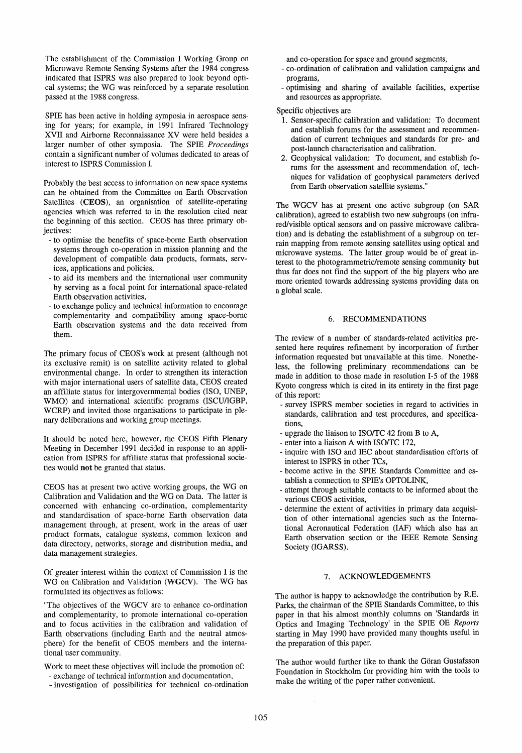The establishment of the Commission I Working Oroup on Microwave Remote Sensing Systems after the 1984 congress indicated that ISPRS was also prepared to look beyond optical systems; the WO was reinforced by a separate resolution passed at the 1988 congress.

SPIE has been active in holding symposia in aerospace sensing for years; for example, in 1991 Infrared Technology XVII and Airborne Reconnaissance XV were held besides a larger number of other symposia. The SPIE *Proceedings*  contain a significant number of volumes dedicated to areas of interest to ISPRS Commission I.

Probably the best access to information on new space systems can be obtained from the Committee on Earth Observation Satellites (CEOS), an organisation of satellite-operating agencies which was referred to in the resolution cited near the beginning of this section. CEOS has three primary objectives:

- to optimise the benefits of space-borne Earth observation systems through co-operation in mission planning and the development of compatible data products, formats, services, applications and policies,
- to aid its members and the international user community by serving as a focal point for international space-related Earth observation activities,
- to exchange policy and technical information to encourage complementarity and compatibility among space-borne Earth observation systems and the data received from them.

The primary focus of CEOS's work at present (although not its exclusive remit) is on satellite activity related to global environmental change. In order to strengthen its interaction with major international users of satellite data, CEOS created an affiliate status for intergovernmental bodies (ISO, UNEP, WMO) and international scientific programs (ISCU/IOBP, WCRP) and invited those organisations to participate in plenary deliberations and working group meetings.

It should be noted here, however, the CEOS Fifth Plenary Meeting in December 1991 decided in response to an application from ISPRS for affiliate status that professional societies would not be granted that status.

CEOS has at present two active working groups, the WO on Calibration and Validation and the WO on Data. The latter is concerned with enhancing co-ordination, complementarity and standardisation of space-borne Earth observation data management through, at present, work in the areas of user product formats, catalogue systems, common lexicon and data directory, networks, storage and distribution media, and data management strategies.

Of greater interest within the context of Commission I is the WG on Calibration and Validation (WGCV). The WG has formulated its objectives as follows:

"The objectives of the WOCV are to enhance co-ordination and complementarity, to promote international co-operation and to focus activities in the calibration and validation of Earth observations (including Earth and the neutral atmosphere) for the benefit of CEOS members and the international user community.

Work to meet these objectives will include the promotion of:

- exchange of technical information and documentation,
- investigation of possibilities for technical co-ordination

and co-operation for space and ground segments,

- co-ordination of calibration and validation campaigns and programs,
- optimising and sharing of available facilities, expertise and resources as appropriate.

Specific objectives are

- 1. Sensor-specific calibration and validation: To document and establish forums for the assessment and recommendation of current techniques and standards for pre- and post-launch characterisation and calibration.
- 2. Oeophysical validation: To document, and establish forums for the assessment and recommendation of, techniques for validation of geophysical parameters derived from Earth observation satellite systems."

The WOCV has at present one active subgroup (on SAR calibration), agreed to establish two new subgroups (on infrared/visible optical sensors and on passive microwave calibration) and is debating the establishment of a subgroup on terrain mapping from remote sensing satellites using optical and microwave systems. The latter group would be of great interest to the photogrammetric/remote sensing community but thus far does not find the support of the big players who are more oriented towards addressing systems providing data on a global scale.

#### 6. RECOMMENDATIONS

The review of a number of standards-related activities presented here requires refinement by incorporation of further information requested but unavailable at this time. Nonetheless, the following preliminary recommendations can be made in addition to those made in resolution 1-5 of the 1988 Kyoto congress which is cited in its entirety in the first page of this report:

- survey ISPRS member societies in regard to activities in standards, calibration and test procedures, and specifications,
- upgrade the liaison to ISO/TC 42 from B to A,
- enter into a liaison A with ISO/TC 172,
- inquire with ISO and IEC about standardisation efforts of interest to ISPRS in other TCs,
- become active in the SPIE Standards Committee and establish a connection to SPIE's OPTOLINK,
- attempt through suitable contacts to be informed about the various CEOS activities,
- determine the extent of activities in primary data acquisition of other international agencies such as the International Aeronautical Federation (IAF) which also has an Earth observation section or the IEEE Remote Sensing Society (IGARSS).

#### 7. ACKNOWLEDOEMENTS

The author is happy to acknowledge the contribution by R.E. Parks, the chairman of the SPIE Standards Committee, to this paper in that his almost monthly columns on 'Standards in Optics and Imaging Technology' in the SPIE OE Reports starting in May 1990 have provided many thoughts useful m the preparation of this paper.

The author would further like to thank the Oöran Oustafsson Foundation in Stockholm for providing him with the tools to make the writing of the paper rather convenient.